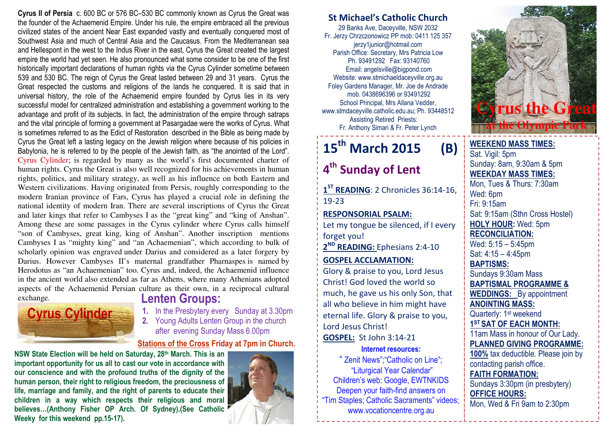Cyrus II of Persia c. 600 BC or 576 BC–530 BC commonly known as Cyrus the Great was the founder of the Achaemenid Empire. Under his rule, the empire embraced all the previous civilized states of the ancient Near East expanded vastly and eventually conquered most of Southwest Asia and much of Central Asia and the Caucasus. From the Mediterranean sea and Hellespont in the west to the Indus River in the east, Cyrus the Great created the largest empire the world had yet seen. He also pronounced what some consider to be one of the first historically important declarations of human rights via the Cyrus Cylinder sometime between 539 and 530 BC. The reign of Cyrus the Great lasted between 29 and 31 years. Cyrus the Great respected the customs and religions of the lands he conquered. It is said that in universal history, the role of the Achaemenid empire founded by Cyrus lies in its very successful model for centralized administration and establishing a government working to the advantage and profit of its subjects. In fact, the administration of the empire through satraps and the vital principle of forming a government at Pasargadae were the works of Cyrus. What is sometimes referred to as the Edict of Restoration described in the Bible as being made by Cyrus the Great left a lasting legacy on the Jewish religion where because of his policies in Babylonia, he is referred to by the people of the Jewish faith, as "the anointed of the Lord". Cyrus Cylinder; is regarded by many as the world's first documented charter of human rights. Cyrus the Great is also well recognized for his achievements in human rights, politics, and military strategy, as well as his influence on both Eastern and Western civilizations. Having originated from Persis, roughly corresponding to the modern Iranian province of Fars, Cyrus has played a crucial role in defining the national identity of modern Iran. There are several inscriptions of Cyrus the Great and later kings that refer to Cambyses I as the "great king" and "king of Anshan". Among these are some passages in the Cyrus cylinder where Cyrus calls himself "son of Cambyses, great king, king of Anshan". Another inscription mentions Cambyses I as "mighty king" and "an Achaemenian", which according to bulk of scholarly opinion was engraved under Darius and considered as a later forgery by Darius. However Cambyses II's maternal grandfather Pharnaspes is named by Herodotus as "an Achaemenian" too. Cyrus and, indeed, the Achaemenid influence in the ancient world also extended as far as Athens, where many Athenians adopted aspects of the Achaemenid Persian culture as their own, in a reciprocal cultural exchange.



### Lenten Groups:

. In the Presbytery every Sunday at 3.30pm 1.2. Young Adults Lenten Group in the church after evening Sunday Mass 6.00pm

## Stations of the Cross Friday at 7pm in Church.<br>Internet resources:

NSW State Election will be held on Saturday, 28th March. This is an important opportunity for us all to cast our vote in accordance with our conscience and with the profound truths of the dignity of the human person, their right to religious freedom, the preciousness of life, marriage and family, and the right of parents to educate their children in a way which respects their religious and moral believes…(Anthony Fisher OP Arch. Of Sydney).(See Catholic Weeky for this weekend pp.15-17).



#### St Michael's Catholic Church

29 Banks Ave, Daceyville, NSW 2032 Fr. Jerzy Chrzczonowicz PP mob: 0411 125 357 jerzy1junior@hotmail.com Parish Office: Secretary, Mrs Patricia Low Ph. 93491292 Fax: 93140760 Email: angelsville@bigpond.com Website: www.stmichaeldaceyville.org.au Foley Gardens Manager, Mr. Joe de Andrade mob. 0438696396 or 93491292 School Principal, Mrs Allana Vedder, www.stmdaceyville.catholic.edu.au; Ph. 93448512 Assisting Retired Priests: Fr. Anthony Simari & Fr. Peter Lynch

# $15<sup>th</sup>$  March 2015 (B)

### 4<sup>th</sup> Sunday of Lent

1<sup>ST</sup> READING: 2 Chronicles 36:14-16, 19-23

#### RESPONSORIAL PSALM:

Let my tongue be silenced, if I every forget you!

2<sup>ND</sup> READING: Ephesians 2:4-10

#### GOSPEL ACCLAMATION:

Glory & praise to you, Lord Jesus Christ! God loved the world so much, he gave us his only Son, that all who believe in him might have eternal life. Glory & praise to you, Lord Jesus Christ!**GOSPEL: St John 3:14-21** 

" Zenit News";"Catholic on Line"; "Liturgical Year Calendar" Children's web: Google, EWTNKIDS Deepen your faith-find answers on "Tim Staples; Catholic Sacraments" videos; www.vocationcentre.org.au



Sat. Vigil: 5pm Sunday: 8am, 9:30am & 5pm WEEKDAY MASS TIMES: Mon, Tues & Thurs: 7:30am Wed: 6pm Fri: 9:15am Sat: 9:15am (Sthn Cross Hostel) HOLY HOUR: Wed: 5pm RECONCILIATION: Wed: 5:15 – 5:45pm Sat: 4:15 – 4:45pm BAPTISMS: Sundays 9:30am Mass BAPTISMAL PROGRAMME & **WEDDINGS:** By appointment ANOINTING MASS: Quarterly: 1<sup>st</sup> weekend 1<sup>ST</sup> SAT OF EACH MONTH: 11am Mass in honour of Our Lady. PLANNED GIVING PROGRAMME: 100% tax deductible. Please join by contacting parish office. FAITH FORMATION: Sundays 3:30pm (in presbytery) OFFICE HOURS: Mon, Wed & Fri 9am to 2:30pm